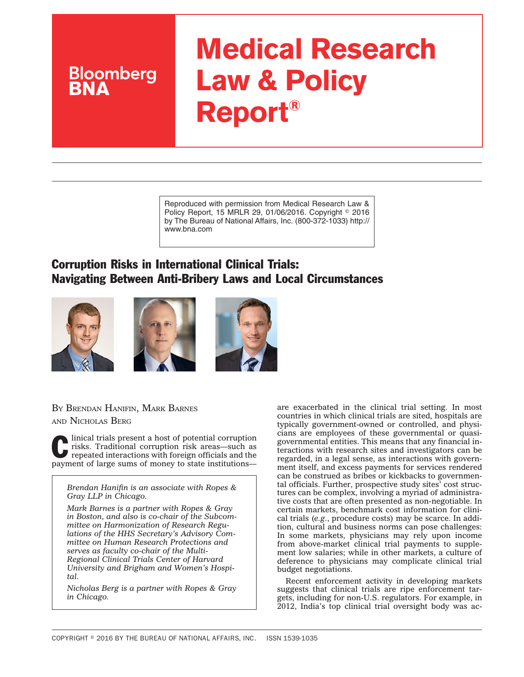# **Medical Research Law & Policy Report®**

Reproduced with permission from Medical Research Law & Policy Report, 15 MRLR 29, 01/06/2016. Copyright © 2016 by The Bureau of National Affairs, Inc. (800-372-1033) http:// www.bna.com

## Corruption Risks in International Clinical Trials: Navigating Between Anti-Bribery Laws and Local Circumstances







#### BY BRENDAN HANIFIN, MARK BARNES AND NICHOLAS BERG

**Bloomberg** 

Iinical trials present a host of potential corruption risks. Traditional corruption risk areas—such as repeated interactions with foreign officials and the payment of large sums of money to state institutions—

*Brendan Hanifin is an associate with Ropes & Gray LLP in Chicago.*

*Mark Barnes is a partner with Ropes & Gray in Boston, and also is co-chair of the Subcommittee on Harmonization of Research Regulations of the HHS Secretary's Advisory Committee on Human Research Protections and serves as faculty co-chair of the Multi-Regional Clinical Trials Center of Harvard University and Brigham and Women's Hospital.*

*Nicholas Berg is a partner with Ropes & Gray in Chicago.*

are exacerbated in the clinical trial setting. In most countries in which clinical trials are sited, hospitals are typically government-owned or controlled, and physicians are employees of these governmental or quasigovernmental entities. This means that any financial interactions with research sites and investigators can be regarded, in a legal sense, as interactions with government itself, and excess payments for services rendered can be construed as bribes or kickbacks to governmental officials. Further, prospective study sites' cost structures can be complex, involving a myriad of administrative costs that are often presented as non-negotiable. In certain markets, benchmark cost information for clinical trials (*e.g.*, procedure costs) may be scarce. In addition, cultural and business norms can pose challenges: In some markets, physicians may rely upon income from above-market clinical trial payments to supplement low salaries; while in other markets, a culture of deference to physicians may complicate clinical trial budget negotiations.

Recent enforcement activity in developing markets suggests that clinical trials are ripe enforcement targets, including for non-U.S. regulators. For example, in 2012, India's top clinical trial oversight body was ac-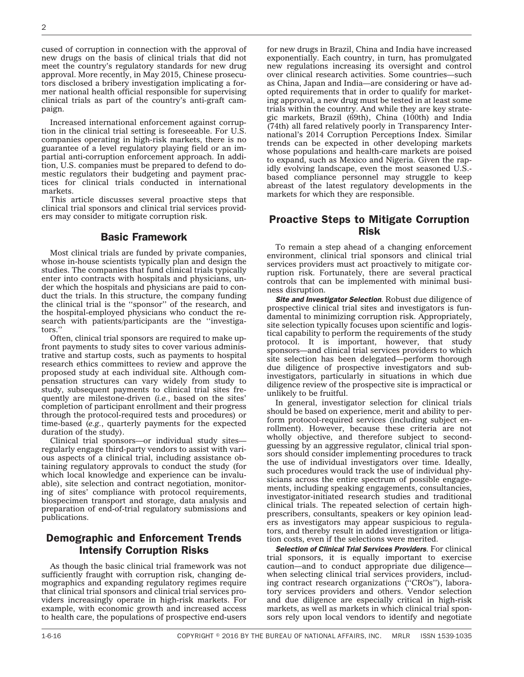cused of corruption in connection with the approval of new drugs on the basis of clinical trials that did not meet the country's regulatory standards for new drug approval. More recently, in May 2015, Chinese prosecutors disclosed a bribery investigation implicating a former national health official responsible for supervising clinical trials as part of the country's anti-graft campaign.

Increased international enforcement against corruption in the clinical trial setting is foreseeable. For U.S. companies operating in high-risk markets, there is no guarantee of a level regulatory playing field or an impartial anti-corruption enforcement approach. In addition, U.S. companies must be prepared to defend to domestic regulators their budgeting and payment practices for clinical trials conducted in international markets.

This article discusses several proactive steps that clinical trial sponsors and clinical trial services providers may consider to mitigate corruption risk.

#### Basic Framework

Most clinical trials are funded by private companies, whose in-house scientists typically plan and design the studies. The companies that fund clinical trials typically enter into contracts with hospitals and physicians, under which the hospitals and physicians are paid to conduct the trials. In this structure, the company funding the clinical trial is the ''sponsor'' of the research, and the hospital-employed physicians who conduct the research with patients/participants are the ''investigators.''

Often, clinical trial sponsors are required to make upfront payments to study sites to cover various administrative and startup costs, such as payments to hospital research ethics committees to review and approve the proposed study at each individual site. Although compensation structures can vary widely from study to study, subsequent payments to clinical trial sites frequently are milestone-driven (*i.e.*, based on the sites' completion of participant enrollment and their progress through the protocol-required tests and procedures) or time-based (*e.g.*, quarterly payments for the expected duration of the study).

Clinical trial sponsors—or individual study sites regularly engage third-party vendors to assist with various aspects of a clinical trial, including assistance obtaining regulatory approvals to conduct the study (for which local knowledge and experience can be invaluable), site selection and contract negotiation, monitoring of sites' compliance with protocol requirements, biospecimen transport and storage, data analysis and preparation of end-of-trial regulatory submissions and publications.

#### Demographic and Enforcement Trends Intensify Corruption Risks

As though the basic clinical trial framework was not sufficiently fraught with corruption risk, changing demographics and expanding regulatory regimes require that clinical trial sponsors and clinical trial services providers increasingly operate in high-risk markets. For example, with economic growth and increased access to health care, the populations of prospective end-users

for new drugs in Brazil, China and India have increased exponentially. Each country, in turn, has promulgated new regulations increasing its oversight and control over clinical research activities. Some countries—such as China, Japan and India—are considering or have adopted requirements that in order to qualify for marketing approval, a new drug must be tested in at least some trials within the country. And while they are key strategic markets, Brazil (69th), China (100th) and India (74th) all fared relatively poorly in Transparency International's 2014 Corruption Perceptions Index. Similar trends can be expected in other developing markets whose populations and health-care markets are poised to expand, such as Mexico and Nigeria. Given the rapidly evolving landscape, even the most seasoned U.S. based compliance personnel may struggle to keep abreast of the latest regulatory developments in the markets for which they are responsible.

### Proactive Steps to Mitigate Corruption Risk

To remain a step ahead of a changing enforcement environment, clinical trial sponsors and clinical trial services providers must act proactively to mitigate corruption risk. Fortunately, there are several practical controls that can be implemented with minimal business disruption.

*Site and Investigator Selection*. Robust due diligence of prospective clinical trial sites and investigators is fundamental to minimizing corruption risk. Appropriately, site selection typically focuses upon scientific and logistical capability to perform the requirements of the study protocol. It is important, however, that study sponsors—and clinical trial services providers to which site selection has been delegated—perform thorough due diligence of prospective investigators and subinvestigators, particularly in situations in which due diligence review of the prospective site is impractical or unlikely to be fruitful.

In general, investigator selection for clinical trials should be based on experience, merit and ability to perform protocol-required services (including subject enrollment). However, because these criteria are not wholly objective, and therefore subject to secondguessing by an aggressive regulator, clinical trial sponsors should consider implementing procedures to track the use of individual investigators over time. Ideally, such procedures would track the use of individual physicians across the entire spectrum of possible engagements, including speaking engagements, consultancies, investigator-initiated research studies and traditional clinical trials. The repeated selection of certain highprescribers, consultants, speakers or key opinion leaders as investigators may appear suspicious to regulators, and thereby result in added investigation or litigation costs, even if the selections were merited.

*Selection of Clinical Trial Services Providers*. For clinical trial sponsors, it is equally important to exercise caution—and to conduct appropriate due diligence when selecting clinical trial services providers, including contract research organizations (''CROs''), laboratory services providers and others. Vendor selection and due diligence are especially critical in high-risk markets, as well as markets in which clinical trial sponsors rely upon local vendors to identify and negotiate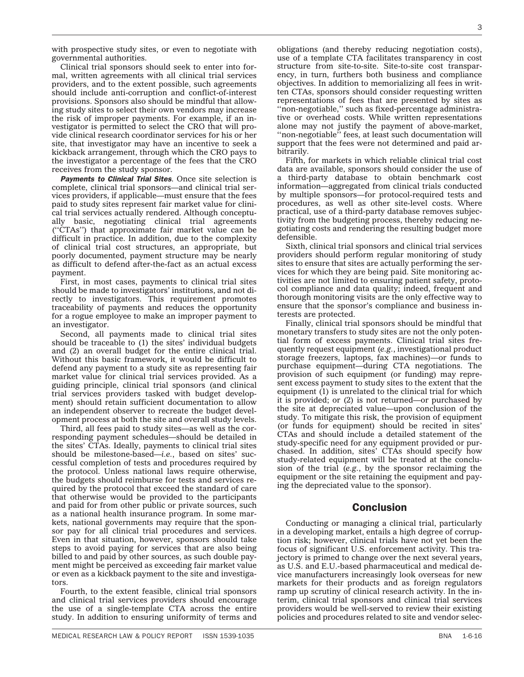with prospective study sites, or even to negotiate with governmental authorities.

Clinical trial sponsors should seek to enter into formal, written agreements with all clinical trial services providers, and to the extent possible, such agreements should include anti-corruption and conflict-of-interest provisions. Sponsors also should be mindful that allowing study sites to select their own vendors may increase the risk of improper payments. For example, if an investigator is permitted to select the CRO that will provide clinical research coordinator services for his or her site, that investigator may have an incentive to seek a kickback arrangement, through which the CRO pays to the investigator a percentage of the fees that the CRO receives from the study sponsor.

*Payments to Clinical Trial Sites*. Once site selection is complete, clinical trial sponsors—and clinical trial services providers, if applicable—must ensure that the fees paid to study sites represent fair market value for clinical trial services actually rendered. Although conceptually basic, negotiating clinical trial agreements (''CTAs'') that approximate fair market value can be difficult in practice. In addition, due to the complexity of clinical trial cost structures, an appropriate, but poorly documented, payment structure may be nearly as difficult to defend after-the-fact as an actual excess payment.

First, in most cases, payments to clinical trial sites should be made to investigators' institutions, and not directly to investigators. This requirement promotes traceability of payments and reduces the opportunity for a rogue employee to make an improper payment to an investigator.

Second, all payments made to clinical trial sites should be traceable to (1) the sites' individual budgets and (2) an overall budget for the entire clinical trial. Without this basic framework, it would be difficult to defend any payment to a study site as representing fair market value for clinical trial services provided. As a guiding principle, clinical trial sponsors (and clinical trial services providers tasked with budget development) should retain sufficient documentation to allow an independent observer to recreate the budget development process at both the site and overall study levels.

Third, all fees paid to study sites—as well as the corresponding payment schedules—should be detailed in the sites' CTAs. Ideally, payments to clinical trial sites should be milestone-based—*i.e.*, based on sites' successful completion of tests and procedures required by the protocol. Unless national laws require otherwise, the budgets should reimburse for tests and services required by the protocol that exceed the standard of care that otherwise would be provided to the participants and paid for from other public or private sources, such as a national health insurance program. In some markets, national governments may require that the sponsor pay for all clinical trial procedures and services. Even in that situation, however, sponsors should take steps to avoid paying for services that are also being billed to and paid by other sources, as such double payment might be perceived as exceeding fair market value or even as a kickback payment to the site and investigators.

Fourth, to the extent feasible, clinical trial sponsors and clinical trial services providers should encourage the use of a single-template CTA across the entire study. In addition to ensuring uniformity of terms and

obligations (and thereby reducing negotiation costs), use of a template CTA facilitates transparency in cost structure from site-to-site. Site-to-site cost transparency, in turn, furthers both business and compliance objectives. In addition to memorializing all fees in written CTAs, sponsors should consider requesting written representations of fees that are presented by sites as ''non-negotiable,'' such as fixed-percentage administrative or overhead costs. While written representations alone may not justify the payment of above-market, "non-negotiable" fees, at least such documentation will support that the fees were not determined and paid arbitrarily.

Fifth, for markets in which reliable clinical trial cost data are available, sponsors should consider the use of a third-party database to obtain benchmark cost information—aggregated from clinical trials conducted by multiple sponsors—for protocol-required tests and procedures, as well as other site-level costs. Where practical, use of a third-party database removes subjectivity from the budgeting process, thereby reducing negotiating costs and rendering the resulting budget more defensible.

Sixth, clinical trial sponsors and clinical trial services providers should perform regular monitoring of study sites to ensure that sites are actually performing the services for which they are being paid. Site monitoring activities are not limited to ensuring patient safety, protocol compliance and data quality; indeed, frequent and thorough monitoring visits are the only effective way to ensure that the sponsor's compliance and business interests are protected.

Finally, clinical trial sponsors should be mindful that monetary transfers to study sites are not the only potential form of excess payments. Clinical trial sites frequently request equipment (*e.g.*, investigational product storage freezers, laptops, fax machines)—or funds to purchase equipment—during CTA negotiations. The provision of such equipment (or funding) may represent excess payment to study sites to the extent that the equipment (1) is unrelated to the clinical trial for which it is provided; or (2) is not returned—or purchased by the site at depreciated value—upon conclusion of the study. To mitigate this risk, the provision of equipment (or funds for equipment) should be recited in sites' CTAs and should include a detailed statement of the study-specific need for any equipment provided or purchased. In addition, sites' CTAs should specify how study-related equipment will be treated at the conclusion of the trial (*e.g.*, by the sponsor reclaiming the equipment or the site retaining the equipment and paying the depreciated value to the sponsor).

#### Conclusion

Conducting or managing a clinical trial, particularly in a developing market, entails a high degree of corruption risk; however, clinical trials have not yet been the focus of significant U.S. enforcement activity. This trajectory is primed to change over the next several years, as U.S. and E.U.-based pharmaceutical and medical device manufacturers increasingly look overseas for new markets for their products and as foreign regulators ramp up scrutiny of clinical research activity. In the interim, clinical trial sponsors and clinical trial services providers would be well-served to review their existing policies and procedures related to site and vendor selec